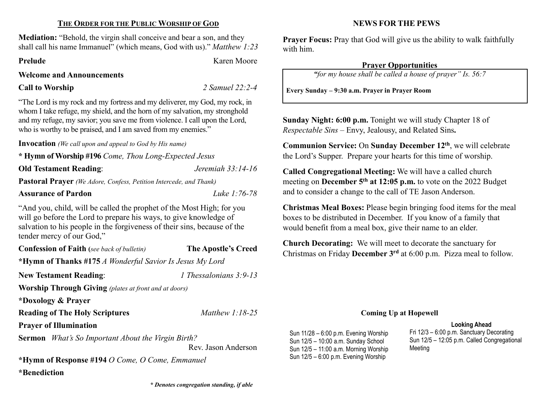## THE ORDER FOR THE PUBLIC WORSHIP OF GOD

Mediation: "Behold, the virgin shall conceive and bear a son, and they shall call his name Immanuel" (which means, God with us)." Matthew 1:23

Prelude Karen Moore

### Welcome and Announcements

## Call to Worship 2 Samuel 22:2-4

"The Lord is my rock and my fortress and my deliverer, my God, my rock, in whom I take refuge, my shield, and the horn of my salvation, my stronghold and my refuge, my savior; you save me from violence. I call upon the Lord, who is worthy to be praised, and I am saved from my enemies."

Invocation (We call upon and appeal to God by His name)

\* Hymn of Worship #196 Come, Thou Long-Expected Jesus

Old Testament Reading: *Jeremiah* 33:14-16

Pastoral Prayer (We Adore, Confess, Petition Intercede, and Thank)

# Assurance of Pardon Luke 1:76-78

"And you, child, will be called the prophet of the Most High; for you will go before the Lord to prepare his ways, to give knowledge of salvation to his people in the forgiveness of their sins, because of the tender mercy of our God,"

Confession of Faith (see back of bulletin) The Apostle's Creed \*Hymn of Thanks #175 A Wonderful Savior Is Jesus My Lord New Testament Reading: 1 Thessalonians 3:9-13 Worship Through Giving (plates at front and at doors) \*Doxology & Prayer Reading of The Holy Scriptures Matthew 1:18-25 Prayer of Illumination Sermon *What's So Important About the Virgin Birth?* Rev. Jason Anderson

\*Hymn of Response #194 O Come, O Come, Emmanuel \*Benediction

\* Denotes congregation standing, if able

## NEWS FOR THE PEWS

Prayer Focus: Pray that God will give us the ability to walk faithfully with him.

# Prayer Opportunities

"for my house shall be called a house of prayer" Is. 56:7

Every Sunday – 9:30 a.m. Prayer in Prayer Room

Sunday Night: 6:00 p.m. Tonight we will study Chapter 18 of Respectable Sins – Envy, Jealousy, and Related Sins.

Communion Service: On Sunday December 12th, we will celebrate the Lord's Supper. Prepare your hearts for this time of worship.

Called Congregational Meeting: We will have a called church meeting on **December 5<sup>th</sup> at 12:05 p.m.** to vote on the 2022 Budget and to consider a change to the call of TE Jason Anderson.

Christmas Meal Boxes: Please begin bringing food items for the meal boxes to be distributed in December. If you know of a family that would benefit from a meal box, give their name to an elder.

Church Decorating: We will meet to decorate the sanctuary for Christmas on Friday December 3rd at 6:00 p.m. Pizza meal to follow.

#### Coming Up at Hopewell

#### Looking Ahead

Sun 11/28 – 6:00 p.m. Evening Worship Sun 12/5 – 10:00 a.m. Sunday School Sun 12/5 – 11:00 a.m. Morning Worship Sun 12/5 – 6:00 p.m. Evening Worship

Fri 12/3 – 6:00 p.m. Sanctuary Decorating Sun 12/5 – 12:05 p.m. Called Congregational Meeting